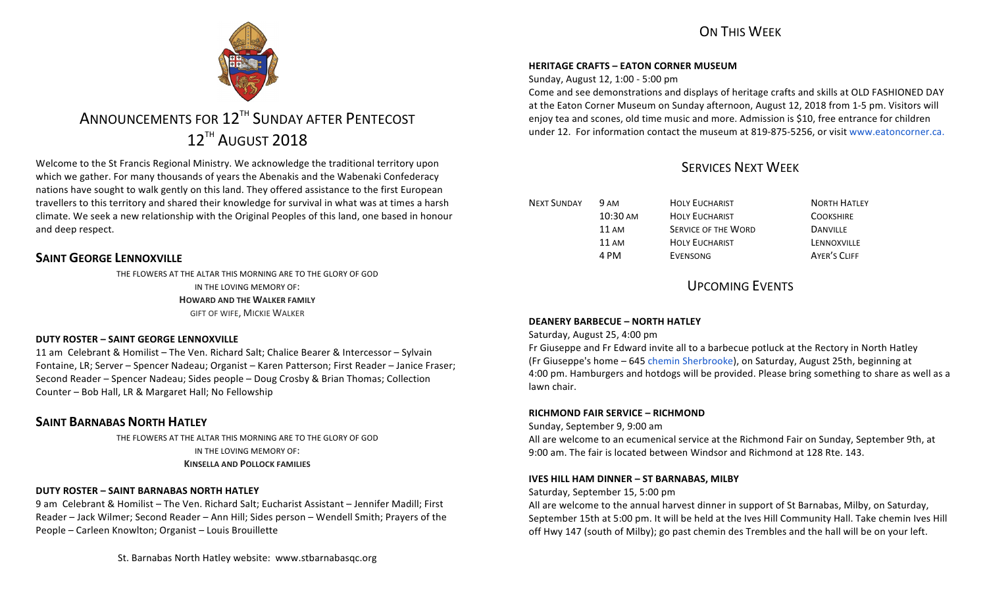# ON THIS WFFK



# ANNOUNCEMENTS FOR 12<sup>TH</sup> SUNDAY AFTER PENTECOST 12<sup>TH</sup> AUGUST 2018

Welcome to the St Francis Regional Ministry. We acknowledge the traditional territory upon which we gather. For many thousands of years the Abenakis and the Wabenaki Confederacy nations have sought to walk gently on this land. They offered assistance to the first European travellers to this territory and shared their knowledge for survival in what was at times a harsh climate. We seek a new relationship with the Original Peoples of this land, one based in honour and deep respect.

# **SAINT GEORGE LENNOXVILLE**

THE FLOWERS AT THE ALTAR THIS MORNING ARE TO THE GLORY OF GOD IN THE LOVING MEMORY OF: **HOWARD AND THE WALKER FAMILY GIFT OF WIFE, MICKIE WALKER** 

# **DUTY ROSTER – SAINT GEORGE LENNOXVILLE**

11 am Celebrant & Homilist – The Ven. Richard Salt; Chalice Bearer & Intercessor – Sylvain Fontaine, LR; Server – Spencer Nadeau; Organist – Karen Patterson; First Reader – Janice Fraser; Second Reader – Spencer Nadeau; Sides people – Doug Crosby & Brian Thomas; Collection Counter – Bob Hall, LR & Margaret Hall; No Fellowship

# **SAINT BARNABAS NORTH HATLEY**

THE FLOWERS AT THE ALTAR THIS MORNING ARE TO THE GLORY OF GOD IN THE LOVING MEMORY OF: **KINSELLA AND POLLOCK FAMILIES** 

# **DUTY ROSTER – SAINT BARNABAS NORTH HATLEY**

9 am Celebrant & Homilist – The Ven. Richard Salt; Eucharist Assistant – Jennifer Madill; First Reader – Jack Wilmer; Second Reader – Ann Hill; Sides person – Wendell Smith; Prayers of the People – Carleen Knowlton; Organist – Louis Brouillette

## **HERITAGE CRAFTS – EATON CORNER MUSEUM**

Sunday, August 12, 1:00 - 5:00 pm

Come and see demonstrations and displays of heritage crafts and skills at OLD FASHIONED DAY at the Eaton Corner Museum on Sunday afternoon, August 12, 2018 from 1-5 pm. Visitors will enjoy tea and scones, old time music and more. Admission is \$10, free entrance for children under 12. For information contact the museum at 819-875-5256, or visit www.eatoncorner.ca.

# SERVICES NEXT WEEK

| <b>NEXT SUNDAY</b> | 9 AM               | <b>HOLY EUCHARIST</b> | <b>NORTH HATLEY</b> |
|--------------------|--------------------|-----------------------|---------------------|
|                    | $10:30 \text{ AM}$ | <b>HOLY EUCHARIST</b> | <b>COOKSHIRE</b>    |
|                    | $11 \text{ AM}$    | SERVICE OF THE WORD   | <b>DANVILLE</b>     |
|                    | 11 AM              | <b>HOLY EUCHARIST</b> | LENNOXVILLE         |
|                    | 4 PM               | EVENSONG              | <b>AYER'S CLIFF</b> |

# UPCOMING EVENTS

# **DEANERY BARBECUE – NORTH HATLEY**

Saturday, August 25, 4:00 pm

Fr Giuseppe and Fr Edward invite all to a barbecue potluck at the Rectory in North Hatley (Fr Giuseppe's home – 645 chemin Sherbrooke), on Saturday, August 25th, beginning at 4:00 pm. Hamburgers and hotdogs will be provided. Please bring something to share as well as a lawn chair.

### **RICHMOND FAIR SERVICE - RICHMOND**

Sunday, September 9, 9:00 am

All are welcome to an ecumenical service at the Richmond Fair on Sunday, September 9th, at 9:00 am. The fair is located between Windsor and Richmond at 128 Rte. 143.

### **IVES HILL HAM DINNER – ST BARNABAS, MILBY**

Saturday, September 15, 5:00 pm

All are welcome to the annual harvest dinner in support of St Barnabas, Milby, on Saturday, September 15th at 5:00 pm. It will be held at the Ives Hill Community Hall. Take chemin Ives Hill off Hwy 147 (south of Milby); go past chemin des Trembles and the hall will be on your left.

St. Barnabas North Hatley website: www.stbarnabasqc.org